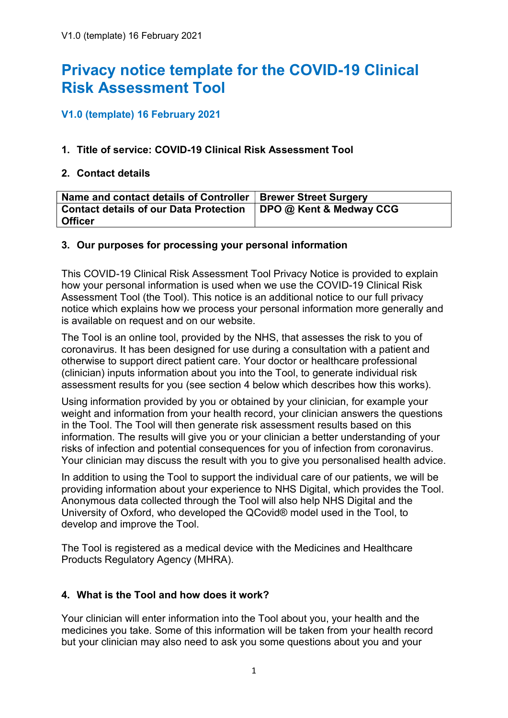# Privacy notice template for the COVID-19 Clinical Risk Assessment Tool

## V1.0 (template) 16 February 2021

## 1. Title of service: COVID-19 Clinical Risk Assessment Tool

## 2. Contact details

| Name and contact details of Controller   Brewer Street Surgery   |  |
|------------------------------------------------------------------|--|
| Contact details of our Data Protection   DPO @ Kent & Medway CCG |  |
| <b>Officer</b>                                                   |  |

#### 3. Our purposes for processing your personal information

This COVID-19 Clinical Risk Assessment Tool Privacy Notice is provided to explain how your personal information is used when we use the COVID-19 Clinical Risk Assessment Tool (the Tool). This notice is an additional notice to our full privacy notice which explains how we process your personal information more generally and is available on request and on our website.

The Tool is an online tool, provided by the NHS, that assesses the risk to you of coronavirus. It has been designed for use during a consultation with a patient and otherwise to support direct patient care. Your doctor or healthcare professional (clinician) inputs information about you into the Tool, to generate individual risk assessment results for you (see section 4 below which describes how this works).

Using information provided by you or obtained by your clinician, for example your weight and information from your health record, your clinician answers the questions in the Tool. The Tool will then generate risk assessment results based on this information. The results will give you or your clinician a better understanding of your risks of infection and potential consequences for you of infection from coronavirus. Your clinician may discuss the result with you to give you personalised health advice.

In addition to using the Tool to support the individual care of our patients, we will be providing information about your experience to NHS Digital, which provides the Tool. Anonymous data collected through the Tool will also help NHS Digital and the University of Oxford, who developed the QCovid® model used in the Tool, to develop and improve the Tool.

The Tool is registered as a medical device with the Medicines and Healthcare Products Regulatory Agency (MHRA).

## 4. What is the Tool and how does it work?

Your clinician will enter information into the Tool about you, your health and the medicines you take. Some of this information will be taken from your health record but your clinician may also need to ask you some questions about you and your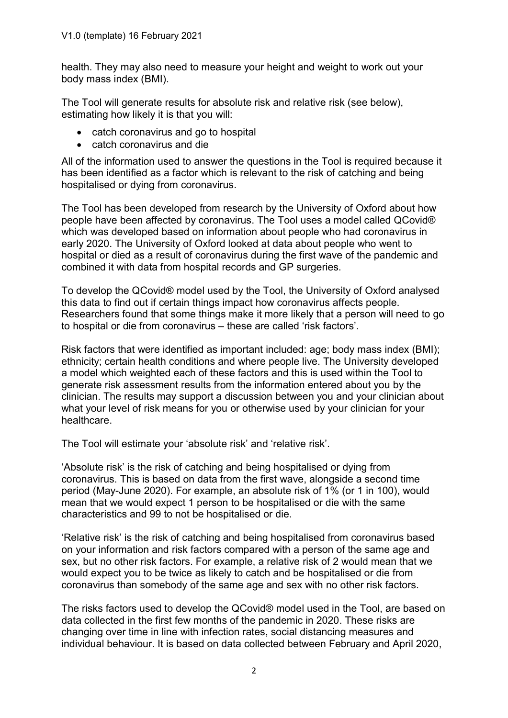health. They may also need to measure your height and weight to work out your body mass index (BMI).

The Tool will generate results for absolute risk and relative risk (see below), estimating how likely it is that you will:

- catch coronavirus and go to hospital
- catch coronavirus and die

All of the information used to answer the questions in the Tool is required because it has been identified as a factor which is relevant to the risk of catching and being hospitalised or dying from coronavirus.

The Tool has been developed from research by the University of Oxford about how people have been affected by coronavirus. The Tool uses a model called QCovid® which was developed based on information about people who had coronavirus in early 2020. The University of Oxford looked at data about people who went to hospital or died as a result of coronavirus during the first wave of the pandemic and combined it with data from hospital records and GP surgeries.

To develop the QCovid® model used by the Tool, the University of Oxford analysed this data to find out if certain things impact how coronavirus affects people. Researchers found that some things make it more likely that a person will need to go to hospital or die from coronavirus – these are called 'risk factors'.

Risk factors that were identified as important included: age; body mass index (BMI); ethnicity; certain health conditions and where people live. The University developed a model which weighted each of these factors and this is used within the Tool to generate risk assessment results from the information entered about you by the clinician. The results may support a discussion between you and your clinician about what your level of risk means for you or otherwise used by your clinician for your healthcare.

The Tool will estimate your 'absolute risk' and 'relative risk'.

'Absolute risk' is the risk of catching and being hospitalised or dying from coronavirus. This is based on data from the first wave, alongside a second time period (May-June 2020). For example, an absolute risk of 1% (or 1 in 100), would mean that we would expect 1 person to be hospitalised or die with the same characteristics and 99 to not be hospitalised or die.

'Relative risk' is the risk of catching and being hospitalised from coronavirus based on your information and risk factors compared with a person of the same age and sex, but no other risk factors. For example, a relative risk of 2 would mean that we would expect you to be twice as likely to catch and be hospitalised or die from coronavirus than somebody of the same age and sex with no other risk factors.

The risks factors used to develop the QCovid® model used in the Tool, are based on data collected in the first few months of the pandemic in 2020. These risks are changing over time in line with infection rates, social distancing measures and individual behaviour. It is based on data collected between February and April 2020,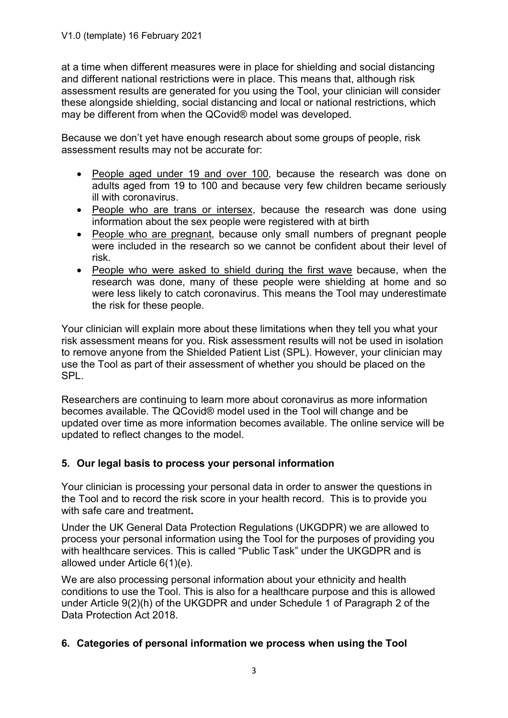at a time when different measures were in place for shielding and social distancing and different national restrictions were in place. This means that, although risk assessment results are generated for you using the Tool, your clinician will consider these alongside shielding, social distancing and local or national restrictions, which may be different from when the QCovid® model was developed.

Because we don't yet have enough research about some groups of people, risk assessment results may not be accurate for:

- People aged under 19 and over 100, because the research was done on adults aged from 19 to 100 and because very few children became seriously ill with coronavirus.
- People who are trans or intersex, because the research was done using information about the sex people were registered with at birth
- People who are pregnant, because only small numbers of pregnant people were included in the research so we cannot be confident about their level of risk.
- People who were asked to shield during the first wave because, when the research was done, many of these people were shielding at home and so were less likely to catch coronavirus. This means the Tool may underestimate the risk for these people.

Your clinician will explain more about these limitations when they tell you what your risk assessment means for you. Risk assessment results will not be used in isolation to remove anyone from the Shielded Patient List (SPL). However, your clinician may use the Tool as part of their assessment of whether you should be placed on the SPL.

Researchers are continuing to learn more about coronavirus as more information becomes available. The QCovid® model used in the Tool will change and be updated over time as more information becomes available. The online service will be updated to reflect changes to the model.

## 5. Our legal basis to process your personal information

Your clinician is processing your personal data in order to answer the questions in the Tool and to record the risk score in your health record. This is to provide you with safe care and treatment.

Under the UK General Data Protection Regulations (UKGDPR) we are allowed to process your personal information using the Tool for the purposes of providing you with healthcare services. This is called "Public Task" under the UKGDPR and is allowed under Article 6(1)(e).

We are also processing personal information about your ethnicity and health conditions to use the Tool. This is also for a healthcare purpose and this is allowed under Article 9(2)(h) of the UKGDPR and under Schedule 1 of Paragraph 2 of the Data Protection Act 2018.

## 6. Categories of personal information we process when using the Tool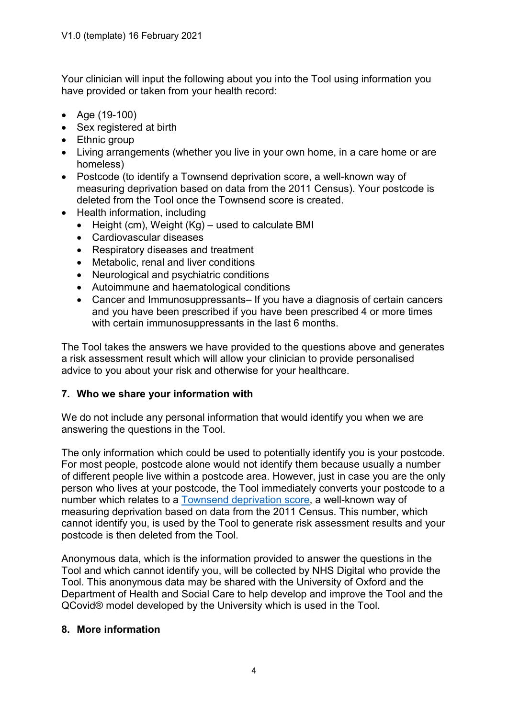Your clinician will input the following about you into the Tool using information you have provided or taken from your health record:

- Age (19-100)
- Sex registered at birth
- Ethnic group
- Living arrangements (whether you live in your own home, in a care home or are homeless)
- Postcode (to identify a Townsend deprivation score, a well-known way of measuring deprivation based on data from the 2011 Census). Your postcode is deleted from the Tool once the Townsend score is created.
- Health information, including
	- $\bullet$  Height (cm), Weight (Kg) used to calculate BMI
	- Cardiovascular diseases
	- Respiratory diseases and treatment
	- Metabolic, renal and liver conditions
	- Neurological and psychiatric conditions
	- Autoimmune and haematological conditions
	- Cancer and Immunosuppressants– If you have a diagnosis of certain cancers and you have been prescribed if you have been prescribed 4 or more times with certain immunosuppressants in the last 6 months.

The Tool takes the answers we have provided to the questions above and generates a risk assessment result which will allow your clinician to provide personalised advice to you about your risk and otherwise for your healthcare.

## 7. Who we share your information with

We do not include any personal information that would identify you when we are answering the questions in the Tool.

The only information which could be used to potentially identify you is your postcode. For most people, postcode alone would not identify them because usually a number of different people live within a postcode area. However, just in case you are the only person who lives at your postcode, the Tool immediately converts your postcode to a number which relates to a Townsend deprivation score, a well-known way of measuring deprivation based on data from the 2011 Census. This number, which cannot identify you, is used by the Tool to generate risk assessment results and your postcode is then deleted from the Tool.

Anonymous data, which is the information provided to answer the questions in the Tool and which cannot identify you, will be collected by NHS Digital who provide the Tool. This anonymous data may be shared with the University of Oxford and the Department of Health and Social Care to help develop and improve the Tool and the QCovid® model developed by the University which is used in the Tool.

## 8. More information